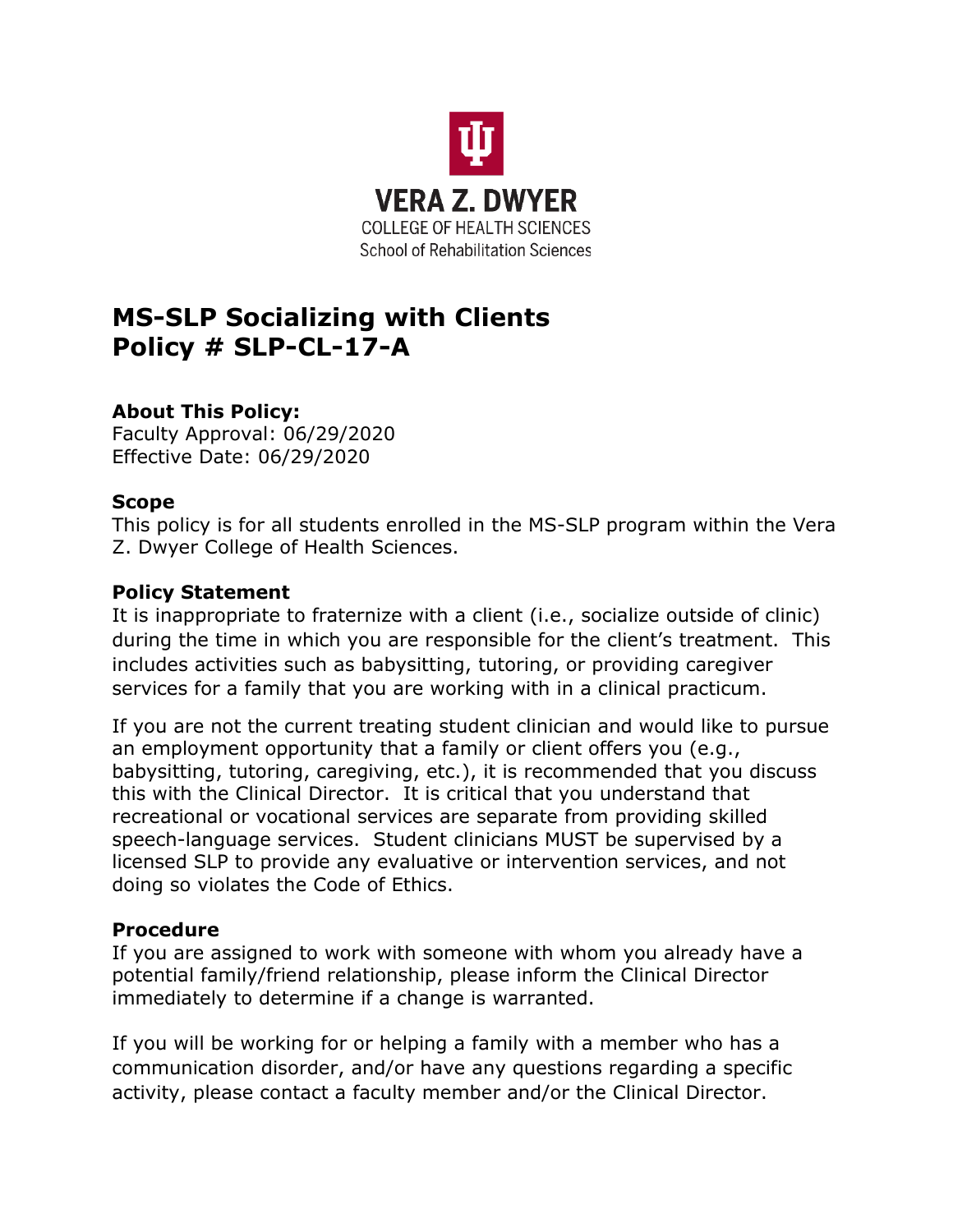

# **MS-SLP Socializing with Clients Policy # SLP-CL-17-A**

## **About This Policy:**

Faculty Approval: 06/29/2020 Effective Date: 06/29/2020

#### **Scope**

This policy is for all students enrolled in the MS-SLP program within the Vera Z. Dwyer College of Health Sciences.

#### **Policy Statement**

It is inappropriate to fraternize with a client (i.e., socialize outside of clinic) during the time in which you are responsible for the client's treatment. This includes activities such as babysitting, tutoring, or providing caregiver services for a family that you are working with in a clinical practicum.

If you are not the current treating student clinician and would like to pursue an employment opportunity that a family or client offers you (e.g., babysitting, tutoring, caregiving, etc.), it is recommended that you discuss this with the Clinical Director. It is critical that you understand that recreational or vocational services are separate from providing skilled speech-language services. Student clinicians MUST be supervised by a licensed SLP to provide any evaluative or intervention services, and not doing so violates the Code of Ethics.

### **Procedure**

If you are assigned to work with someone with whom you already have a potential family/friend relationship, please inform the Clinical Director immediately to determine if a change is warranted.

If you will be working for or helping a family with a member who has a communication disorder, and/or have any questions regarding a specific activity, please contact a faculty member and/or the Clinical Director.